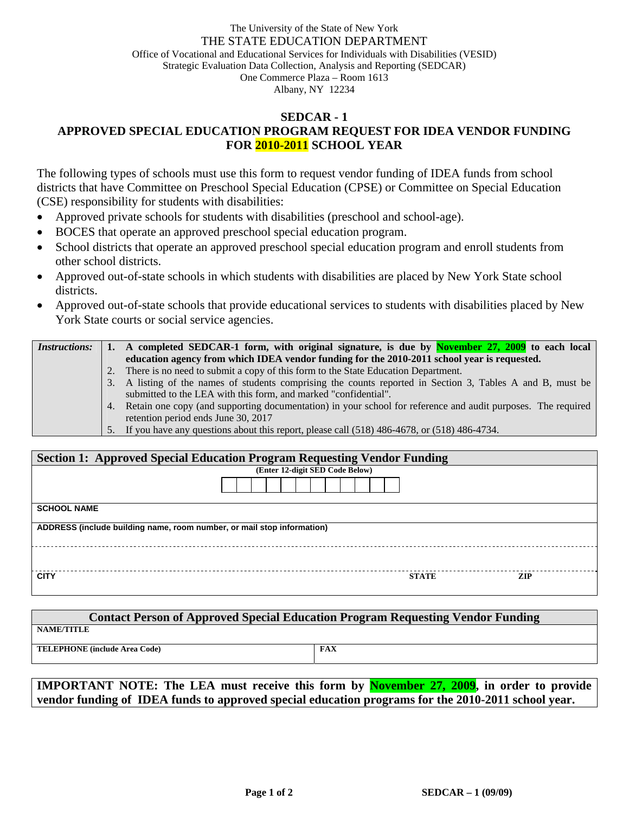## The University of the State of New York THE STATE EDUCATION DEPARTMENT Office of Vocational and Educational Services for Individuals with Disabilities (VESID) Strategic Evaluation Data Collection, Analysis and Reporting (SEDCAR) One Commerce Plaza – Room 1613 Albany, NY 12234

## **SEDCAR - 1 APPROVED SPECIAL EDUCATION PROGRAM REQUEST FOR IDEA VENDOR FUNDING FOR 2010-2011 SCHOOL YEAR**

The following types of schools must use this form to request vendor funding of IDEA funds from school districts that have Committee on Preschool Special Education (CPSE) or Committee on Special Education (CSE) responsibility for students with disabilities:

- Approved private schools for students with disabilities (preschool and school-age).
- BOCES that operate an approved preschool special education program.
- School districts that operate an approved preschool special education program and enroll students from other school districts.
- Approved out-of-state schools in which students with disabilities are placed by New York State school districts.
- Approved out-of-state schools that provide educational services to students with disabilities placed by New York State courts or social service agencies.

| <i>Instructions:</i> |    | A completed SEDCAR-1 form, with original signature, is due by <b>November 27, 2009</b> to each local            |
|----------------------|----|-----------------------------------------------------------------------------------------------------------------|
|                      |    | education agency from which IDEA vendor funding for the 2010-2011 school year is requested.                     |
|                      | 2. | There is no need to submit a copy of this form to the State Education Department.                               |
|                      |    | 3. A listing of the names of students comprising the counts reported in Section 3, Tables A and B, must be      |
|                      |    | submitted to the LEA with this form, and marked "confidential".                                                 |
|                      |    | 4. Retain one copy (and supporting documentation) in your school for reference and audit purposes. The required |
|                      |    | retention period ends June 30, 2017                                                                             |
|                      |    | 5. If you have any questions about this report, please call (518) 486-4678, or (518) 486-4734.                  |

| <b>Section 1: Approved Special Education Program Requesting Vendor Funding</b> |  |              |            |  |  |  |  |  |
|--------------------------------------------------------------------------------|--|--------------|------------|--|--|--|--|--|
| (Enter 12-digit SED Code Below)                                                |  |              |            |  |  |  |  |  |
|                                                                                |  |              |            |  |  |  |  |  |
| <b>SCHOOL NAME</b>                                                             |  |              |            |  |  |  |  |  |
| ADDRESS (include building name, room number, or mail stop information)         |  |              |            |  |  |  |  |  |
|                                                                                |  |              |            |  |  |  |  |  |
| <b>CITY</b>                                                                    |  | <b>STATE</b> | <b>ZIP</b> |  |  |  |  |  |

| <b>Contact Person of Approved Special Education Program Requesting Vendor Funding</b> |            |  |  |  |  |  |  |
|---------------------------------------------------------------------------------------|------------|--|--|--|--|--|--|
| NAME/TITLE                                                                            |            |  |  |  |  |  |  |
| <b>TELEPHONE</b> (include Area Code)                                                  | <b>FAX</b> |  |  |  |  |  |  |

**IMPORTANT NOTE: The LEA must receive this form by November 27, 2009, in order to provide vendor funding of IDEA funds to approved special education programs for the 2010-2011 school year.**